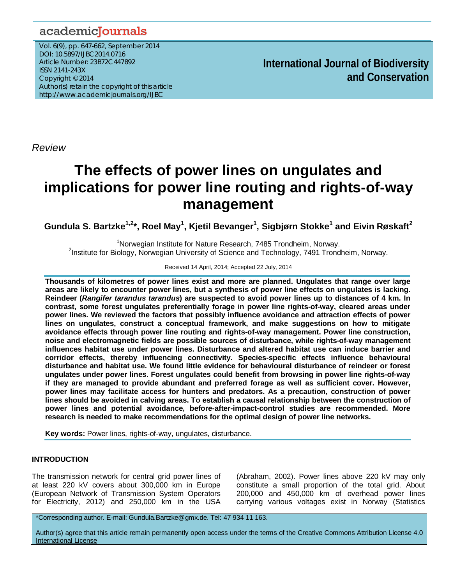## academicJournals

Vol. 6(9), pp. 647-662, September 2014 DOI: 10.5897/IJBC2014.0716 Article Number: 23B72C447892 ISSN 2141-243X Copyright © 2014 Author(s) retain the copyright of this article http://www.academicjournals.org/IJBC

**International Journal of Biodiversity and Conservation**

*Review*

# **The effects of power lines on ungulates and implications for power line routing and rights-of-way management**

**Gundula S. Bartzke1,2\*, Roel May1 , Kjetil Bevanger1 , Sigbjørn Stokke<sup>1</sup> and Eivin Røskaft<sup>2</sup>**

<sup>1</sup> Norwegian Institute for Nature Research, 7485 Trondheim, Norway.<sup>2</sup><br><sup>2</sup> Petitute for Pielegy, Norwegian University of Science and Technology, 7404 Trong <sup>2</sup>Institute for Biology, Norwegian University of Science and Technology, 7491 Trondheim, Norway.

#### Received 14 April, 2014; Accepted 22 July, 2014

**Thousands of kilometres of power lines exist and more are planned. Ungulates that range over large areas are likely to encounter power lines, but a synthesis of power line effects on ungulates is lacking. Reindeer (***Rangifer tarandus tarandus***) are suspected to avoid power lines up to distances of 4 km. In contrast, some forest ungulates preferentially forage in power line rights-of-way, cleared areas under power lines. We reviewed the factors that possibly influence avoidance and attraction effects of power lines on ungulates, construct a conceptual framework, and make suggestions on how to mitigate avoidance effects through power line routing and rights-of-way management. Power line construction, noise and electromagnetic fields are possible sources of disturbance, while rights-of-way management influences habitat use under power lines. Disturbance and altered habitat use can induce barrier and corridor effects, thereby influencing connectivity. Species-specific effects influence behavioural disturbance and habitat use. We found little evidence for behavioural disturbance of reindeer or forest ungulates under power lines. Forest ungulates could benefit from browsing in power line rights-of-way if they are managed to provide abundant and preferred forage as well as sufficient cover. However, power lines may facilitate access for hunters and predators. As a precaution, construction of power lines should be avoided in calving areas. To establish a causal relationship between the construction of power lines and potential avoidance, before-after-impact-control studies are recommended. More research is needed to make recommendations for the optimal design of power line networks.**

**Key words:** Power lines, rights-of-way, ungulates, disturbance.

### **INTRODUCTION**

The transmission network for central grid power lines of at least 220 kV covers about 300,000 km in Europe (European Network of Transmission System Operators for Electricity, 2012) and 250,000 km in the USA

(Abraham, 2002). Power lines above 220 kV may only constitute a small proportion of the total grid. About 200,000 and 450,000 km of overhead power lines carrying various voltages exist in Norway (Statistics

\*Corresponding author. E-mail: Gundula.Bartzke@gmx.de. Tel: 47 934 11 163.

Author(s) agree that this article remain permanently open access under the terms of the [Creative Commons Attribution License 4.0](http://creativecommons.org/licenses/by/4.0/deed.en_US)  [International License](http://creativecommons.org/licenses/by/4.0/deed.en_US)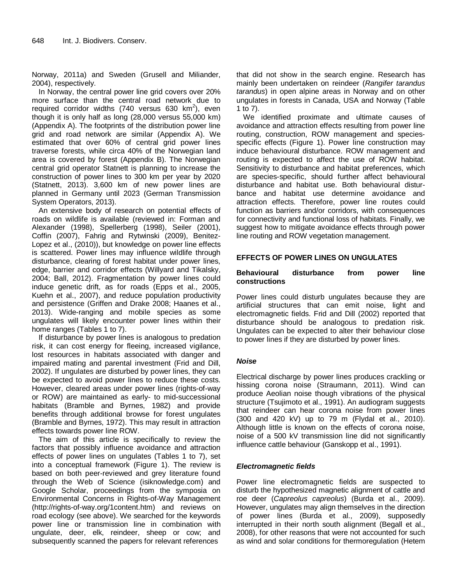Norway, 2011a) and Sweden (Grusell and Miliander, 2004), respectively.

In Norway, the central power line grid covers over 20% more surface than the central road network due to required corridor widths (740 versus 630 km<sup>2</sup>), even though it is only half as long (28,000 versus 55,000 km) (Appendix A). The footprints of the distribution power line grid and road network are similar (Appendix A). We estimated that over 60% of central grid power lines traverse forests, while circa 40% of the Norwegian land area is covered by forest (Appendix B). The Norwegian central grid operator Statnett is planning to increase the construction of power lines to 300 km per year by 2020 (Statnett, 2013). 3,600 km of new power lines are planned in Germany until 2023 (German Transmission System Operators, 2013).

An extensive body of research on potential effects of roads on wildlife is available (reviewed in: Forman and Alexander (1998), Spellerberg (1998), Seiler (2001), Coffin (2007), Fahrig and Rytwinski (2009), Benitez-Lopez et al., (2010)), but knowledge on power line effects is scattered. Power lines may influence wildlife through disturbance, clearing of forest habitat under power lines, edge, barrier and corridor effects (Willyard and Tikalsky, 2004; Ball, 2012). Fragmentation by power lines could induce genetic drift, as for roads (Epps et al., 2005, Kuehn et al., 2007), and reduce population productivity and persistence (Griffen and Drake 2008; Haanes et al., 2013). Wide-ranging and mobile species as some ungulates will likely encounter power lines within their home ranges (Tables 1 to 7).

If disturbance by power lines is analogous to predation risk, it can cost energy for fleeing, increased vigilance, lost resources in habitats associated with danger and impaired mating and parental investment (Frid and Dill, 2002). If ungulates are disturbed by power lines, they can be expected to avoid power lines to reduce these costs. However, cleared areas under power lines (rights-of-way or ROW) are maintained as early- to mid-successional habitats (Bramble and Byrnes, 1982) and provide benefits through additional browse for forest ungulates (Bramble and Byrnes, 1972). This may result in attraction effects towards power line ROW.

The aim of this article is specifically to review the factors that possibly influence avoidance and attraction effects of power lines on ungulates (Tables 1 to 7), set into a conceptual framework (Figure 1). The review is based on both peer-reviewed and grey literature found through the Web of Science (isiknowledge.com) and Google Scholar, proceedings from the symposia on Environmental Concerns in Rights-of-Way Management (http://rights-of-way.org/1content.htm) and reviews on road ecology (see above). We searched for the keywords power line or transmission line in combination with ungulate, deer, elk, reindeer, sheep or cow; and subsequently scanned the papers for relevant references

that did not show in the search engine. Research has mainly been undertaken on reindeer (*Rangifer tarandus tarandus*) in open alpine areas in Norway and on other ungulates in forests in Canada, USA and Norway (Table 1 to 7).

We identified proximate and ultimate causes of avoidance and attraction effects resulting from power line routing, construction, ROW management and speciesspecific effects (Figure 1). Power line construction may induce behavioural disturbance. ROW management and routing is expected to affect the use of ROW habitat. Sensitivity to disturbance and habitat preferences, which are species-specific, should further affect behavioural disturbance and habitat use. Both behavioural disturbance and habitat use determine avoidance and attraction effects. Therefore, power line routes could function as barriers and/or corridors, with consequences for connectivity and functional loss of habitats. Finally, we suggest how to mitigate avoidance effects through power line routing and ROW vegetation management.

### **EFFECTS OF POWER LINES ON UNGULATES**

#### **Behavioural disturbance from power line constructions**

Power lines could disturb ungulates because they are artificial structures that can emit noise, light and electromagnetic fields. Frid and Dill (2002) reported that disturbance should be analogous to predation risk. Ungulates can be expected to alter their behaviour close to power lines if they are disturbed by power lines.

#### *Noise*

Electrical discharge by power lines produces crackling or hissing corona noise (Straumann, 2011). Wind can produce Aeolian noise though vibrations of the physical structure (Tsujimoto et al., 1991). An audiogram suggests that reindeer can hear corona noise from power lines (300 and 420 kV) up to 79 m (Flydal et al., 2010). Although little is known on the effects of corona noise, noise of a 500 kV transmission line did not significantly influence cattle behaviour (Ganskopp et al., 1991).

#### *Electromagnetic fields*

Power line electromagnetic fields are suspected to disturb the hypothesized magnetic alignment of cattle and roe deer (*Capreolus capreolus*) (Burda et al., 2009). However, ungulates may align themselves in the direction of power lines (Burda et al., 2009), supposedly interrupted in their north south alignment (Begall et al., 2008), for other reasons that were not accounted for such as wind and solar conditions for thermoregulation (Hetem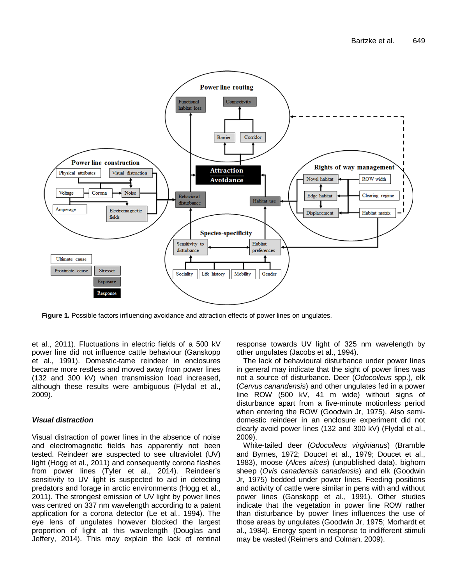

**Figure 1.** Possible factors influencing avoidance and attraction effects of power lines on ungulates.

et al., 2011). Fluctuations in electric fields of a 500 kV power line did not influence cattle behaviour (Ganskopp et al., 1991). Domestic-tame reindeer in enclosures became more restless and moved away from power lines (132 and 300 kV) when transmission load increased, although these results were ambiguous (Flydal et al., 2009).

#### *Visual distraction*

Visual distraction of power lines in the absence of noise and electromagnetic fields has apparently not been tested. Reindeer are suspected to see ultraviolet (UV) light (Hogg et al., 2011) and consequently corona flashes from power lines (Tyler et al., 2014). Reindeer's sensitivity to UV light is suspected to aid in detecting predators and forage in arctic environments (Hogg et al., 2011). The strongest emission of UV light by power lines was centred on 337 nm wavelength according to a patent application for a corona detector (Le et al., 1994). The eye lens of ungulates however blocked the largest proportion of light at this wavelength (Douglas and Jeffery, 2014). This may explain the lack of rentinal response towards UV light of 325 nm wavelength by other ungulates (Jacobs et al., 1994).

The lack of behavioural disturbance under power lines in general may indicate that the sight of power lines was not a source of disturbance. Deer (*Odocoileus* spp.), elk (*Cervus canandensis*) and other ungulates fed in a power line ROW (500 kV, 41 m wide) without signs of disturbance apart from a five-minute motionless period when entering the ROW (Goodwin Jr, 1975). Also semidomestic reindeer in an enclosure experiment did not clearly avoid power lines (132 and 300 kV) (Flydal et al., 2009).

White-tailed deer (*Odocoileus virginianus*) (Bramble and Byrnes, 1972; Doucet et al., 1979; Doucet et al., 1983), moose (*Alces alces*) (unpublished data), bighorn sheep (*Ovis canadensis canadensis*) and elk (Goodwin Jr, 1975) bedded under power lines. Feeding positions and activity of cattle were similar in pens with and without power lines (Ganskopp et al., 1991). Other studies indicate that the vegetation in power line ROW rather than disturbance by power lines influences the use of those areas by ungulates (Goodwin Jr, 1975; Morhardt et al., 1984). Energy spent in response to indifferent stimuli may be wasted (Reimers and Colman, 2009).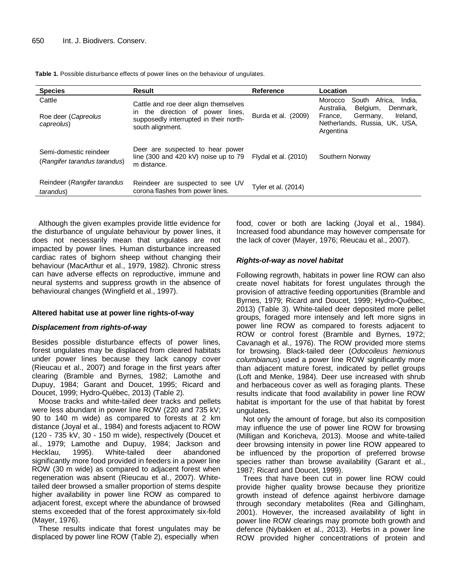|  |  |  |  |  |  |  |  | <b>Table 1.</b> Possible disturbance effects of power lines on the behaviour of ungulates. |
|--|--|--|--|--|--|--|--|--------------------------------------------------------------------------------------------|
|--|--|--|--|--|--|--|--|--------------------------------------------------------------------------------------------|

| <b>Species</b>                                         | <b>Result</b>                                                                                                      | <b>Reference</b>     | Location                                                                                                 |
|--------------------------------------------------------|--------------------------------------------------------------------------------------------------------------------|----------------------|----------------------------------------------------------------------------------------------------------|
| Cattle<br>Roe deer (Capreolus                          | Cattle and roe deer align themselves<br>in the direction of power lines,<br>supposedly interrupted in their north- | Burda et al. (2009)  | South Africa. India.<br>Morocco<br>Belgium,<br>Australia.<br>Denmark.<br>Ireland.<br>Germany,<br>France. |
| capreolus)                                             | south alignment.                                                                                                   |                      | Netherlands, Russia, UK, USA,<br>Argentina                                                               |
| Semi-domestic reindeer<br>(Rangifer tarandus tarandus) | Deer are suspected to hear power<br>line (300 and 420 kV) noise up to 79<br>m distance.                            | Flydal et al. (2010) | Southern Norway                                                                                          |
| Reindeer (Rangifer tarandus<br>tarandus)               | Reindeer are suspected to see UV<br>corona flashes from power lines.                                               | Tyler et al. (2014)  |                                                                                                          |

Although the given examples provide little evidence for the disturbance of ungulate behaviour by power lines, it does not necessarily mean that ungulates are not impacted by power lines. Human disturbance increased cardiac rates of bighorn sheep without changing their behaviour (MacArthur et al., 1979, 1982). Chronic stress can have adverse effects on reproductive, immune and neural systems and suppress growth in the absence of behavioural changes (Wingfield et al., 1997).

#### **Altered habitat use at power line rights-of-way**

#### *Displacement from rights-of-way*

Besides possible disturbance effects of power lines, forest ungulates may be displaced from cleared habitats under power lines because they lack canopy cover (Rieucau et al., 2007) and forage in the first years after clearing (Bramble and Byrnes, 1982; Lamothe and Dupuy, 1984; Garant and Doucet, 1995; Ricard and Doucet, 1999; Hydro-Québec, 2013) (Table 2).

Moose tracks and white-tailed deer tracks and pellets were less abundant in power line ROW (220 and 735 kV; 90 to 140 m wide) as compared to forests at 2 km distance (Joyal et al., 1984) and forests adjacent to ROW (120 - 735 kV, 30 - 150 m wide), respectively (Doucet et al., 1979; Lamothe and Dupuy, 1984; Jackson and Hecklau, 1995). White-tailed deer abandoned significantly more food provided in feeders in a power line ROW (30 m wide) as compared to adjacent forest when regeneration was absent (Rieucau et al., 2007). Whitetailed deer browsed a smaller proportion of stems despite higher availability in power line ROW as compared to adjacent forest, except where the abundance of browsed stems exceeded that of the forest approximately six-fold (Mayer, 1976).

These results indicate that forest ungulates may be displaced by power line ROW (Table 2), especially when

food, cover or both are lacking (Joyal et al., 1984). Increased food abundance may however compensate for the lack of cover (Mayer, 1976; Rieucau et al., 2007).

#### *Rights-of-way as novel habitat*

Following regrowth, habitats in power line ROW can also create novel habitats for forest ungulates through the provision of attractive feeding opportunities (Bramble and Byrnes, 1979; Ricard and Doucet, 1999; Hydro-Québec, 2013) (Table 3). White-tailed deer deposited more pellet groups, foraged more intensely and left more signs in power line ROW as compared to forests adjacent to ROW or control forest (Bramble and Byrnes, 1972; Cavanagh et al., 1976). The ROW provided more stems for browsing. Black-tailed deer (*Odocoileus hemionus columbianus*) used a power line ROW significantly more than adjacent mature forest, indicated by pellet groups (Loft and Menke, 1984). Deer use increased with shrub and herbaceous cover as well as foraging plants. These results indicate that food availability in power line ROW habitat is important for the use of that habitat by forest ungulates.

Not only the amount of forage, but also its composition may influence the use of power line ROW for browsing (Milligan and Koricheva, 2013). Moose and white-tailed deer browsing intensity in power line ROW appeared to be influenced by the proportion of preferred browse species rather than browse availability (Garant et al., 1987; Ricard and Doucet, 1999).

Trees that have been cut in power line ROW could provide higher quality browse because they prioritize growth instead of defence against herbivore damage through secondary metabolites (Rea and Gillingham, 2001). However, the increased availability of light in power line ROW clearings may promote both growth and defence (Nybakken et al., 2013). Herbs in a power line ROW provided higher concentrations of protein and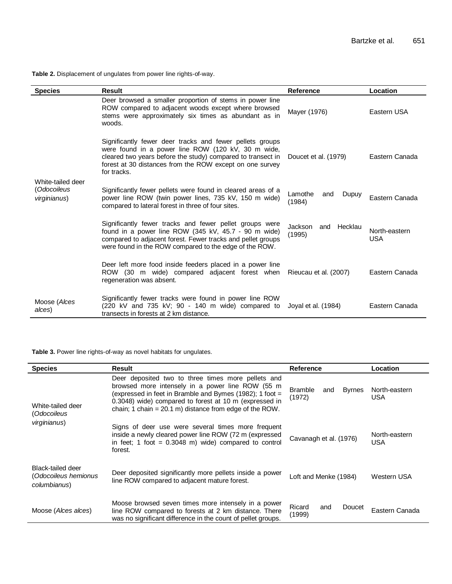**Table 2.** Displacement of ungulates from power line rights-of-way.

| <b>Species</b>                                   | <b>Result</b>                                                                                                                                                                                                                                            | Reference                           | Location                    |
|--------------------------------------------------|----------------------------------------------------------------------------------------------------------------------------------------------------------------------------------------------------------------------------------------------------------|-------------------------------------|-----------------------------|
|                                                  | Deer browsed a smaller proportion of stems in power line<br>ROW compared to adjacent woods except where browsed<br>stems were approximately six times as abundant as in<br>woods.                                                                        | Mayer (1976)                        | Eastern USA                 |
|                                                  | Significantly fewer deer tracks and fewer pellets groups<br>were found in a power line ROW (120 kV, 30 m wide,<br>cleared two years before the study) compared to transect in<br>forest at 30 distances from the ROW except on one survey<br>for tracks. | Doucet et al. (1979)                | Eastern Canada              |
| White-tailed deer<br>(Odocoileus<br>virginianus) | Significantly fewer pellets were found in cleared areas of a<br>power line ROW (twin power lines, 735 kV, 150 m wide)<br>compared to lateral forest in three of four sites.                                                                              | Lamothe<br>Dupuy<br>and<br>(1984)   | Eastern Canada              |
|                                                  | Significantly fewer tracks and fewer pellet groups were<br>found in a power line ROW (345 kV, 45.7 - 90 m wide)<br>compared to adjacent forest. Fewer tracks and pellet groups<br>were found in the ROW compared to the edge of the ROW.                 | Jackson<br>Hecklau<br>and<br>(1995) | North-eastern<br><b>USA</b> |
|                                                  | Deer left more food inside feeders placed in a power line<br>ROW (30 m wide) compared adjacent forest when<br>regeneration was absent.                                                                                                                   | Rieucau et al. (2007)               | Eastern Canada              |
| Moose (Alces<br>alces)                           | Significantly fewer tracks were found in power line ROW<br>$(220 \text{ kV}$ and $735 \text{ kV}$ ; 90 - 140 m wide) compared to<br>transects in forests at 2 km distance.                                                                               | Joyal et al. (1984)                 | Eastern Canada              |

**Table 3.** Power line rights-of-way as novel habitats for ungulates.

| <b>Species</b>                                            | <b>Result</b>                                                                                                                                                                                                                                                                             | <b>Reference</b>                                 | <b>Location</b>             |
|-----------------------------------------------------------|-------------------------------------------------------------------------------------------------------------------------------------------------------------------------------------------------------------------------------------------------------------------------------------------|--------------------------------------------------|-----------------------------|
| White-tailed deer<br>(Odocoileus                          | Deer deposited two to three times more pellets and<br>browsed more intensely in a power line ROW (55 m<br>(expressed in feet in Bramble and Bymes (1982); 1 foot =<br>0.3048) wide) compared to forest at 10 m (expressed in<br>chain; 1 chain = $20.1$ m) distance from edge of the ROW. | <b>Bramble</b><br><b>Byrnes</b><br>and<br>(1972) | North-eastern<br><b>USA</b> |
| virginianus)                                              | Signs of deer use were several times more frequent<br>inside a newly cleared power line ROW (72 m (expressed<br>in feet; 1 foot = $0.3048$ m) wide) compared to control<br>forest.                                                                                                        | Cavanagh et al. (1976)                           | North-eastern<br>USA        |
| Black-tailed deer<br>(Odocoileus hemionus<br>columbianus) | Deer deposited significantly more pellets inside a power<br>line ROW compared to adjacent mature forest.                                                                                                                                                                                  | Loft and Menke (1984)                            | Western USA                 |
| Moose (Alces alces)                                       | Moose browsed seven times more intensely in a power<br>line ROW compared to forests at 2 km distance. There<br>was no significant difference in the count of pellet groups.                                                                                                               | Ricard<br>Doucet<br>and<br>(1999)                | Eastern Canada              |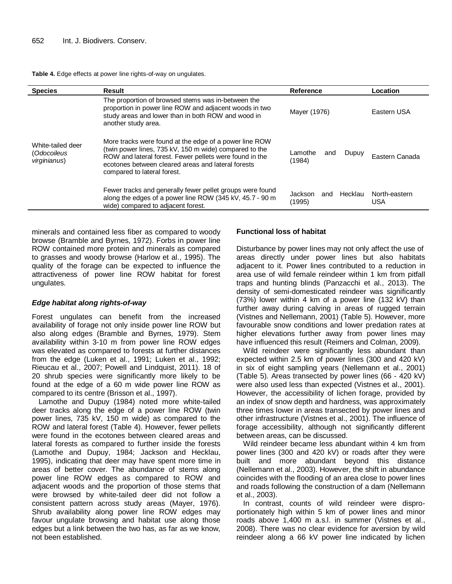**Table 4.** Edge effects at power line rights-of-way on ungulates.

| <b>Species</b>                                   | <b>Result</b>                                                                                                                                                                                                                                                    | <b>Reference</b>                    | Location             |
|--------------------------------------------------|------------------------------------------------------------------------------------------------------------------------------------------------------------------------------------------------------------------------------------------------------------------|-------------------------------------|----------------------|
|                                                  | The proportion of browsed stems was in-between the<br>proportion in power line ROW and adjacent woods in two<br>study areas and lower than in both ROW and wood in<br>another study area.                                                                        | Mayer (1976)                        | Eastern USA          |
| White-tailed deer<br>(Odocoileus<br>virginianus) | More tracks were found at the edge of a power line ROW<br>(twin power lines, 735 kV, 150 m wide) compared to the<br>ROW and lateral forest. Fewer pellets were found in the<br>ecotones between cleared areas and lateral forests<br>compared to lateral forest. | Lamothe<br>Dupuy<br>and<br>(1984)   | Eastern Canada       |
|                                                  | Fewer tracks and generally fewer pellet groups were found<br>along the edges of a power line ROW (345 kV, 45.7 - 90 m<br>wide) compared to adjacent forest.                                                                                                      | Hecklau<br>Jackson<br>and<br>(1995) | North-eastern<br>USA |

minerals and contained less fiber as compared to woody browse (Bramble and Byrnes, 1972). Forbs in power line ROW contained more protein and minerals as compared to grasses and woody browse (Harlow et al., 1995). The quality of the forage can be expected to influence the attractiveness of power line ROW habitat for forest ungulates.

#### *Edge habitat along rights-of-way*

Forest ungulates can benefit from the increased availability of forage not only inside power line ROW but also along edges (Bramble and Byrnes, 1979). Stem availability within 3-10 m from power line ROW edges was elevated as compared to forests at further distances from the edge (Luken et al., 1991; Luken et al., 1992; Rieucau et al., 2007; Powell and Lindquist, 2011). 18 of 20 shrub species were significantly more likely to be found at the edge of a 60 m wide power line ROW as compared to its centre (Brisson et al., 1997).

Lamothe and Dupuy (1984) noted more white-tailed deer tracks along the edge of a power line ROW (twin power lines, 735 kV, 150 m wide) as compared to the ROW and lateral forest (Table 4). However, fewer pellets were found in the ecotones between cleared areas and lateral forests as compared to further inside the forests (Lamothe and Dupuy, 1984; Jackson and Hecklau, 1995), indicating that deer may have spent more time in areas of better cover. The abundance of stems along power line ROW edges as compared to ROW and adjacent woods and the proportion of those stems that were browsed by white-tailed deer did not follow a consistent pattern across study areas (Mayer, 1976). Shrub availability along power line ROW edges may favour ungulate browsing and habitat use along those edges but a link between the two has, as far as we know, not been established.

#### **Functional loss of habitat**

Disturbance by power lines may not only affect the use of areas directly under power lines but also habitats adjacent to it. Power lines contributed to a reduction in area use of wild female reindeer within 1 km from pitfall traps and hunting blinds (Panzacchi et al., 2013). The density of semi-domesticated reindeer was significantly (73%) lower within 4 km of a power line (132 kV) than further away during calving in areas of rugged terrain (Vistnes and Nellemann, 2001) (Table 5). However, more favourable snow conditions and lower predation rates at higher elevations further away from power lines may have influenced this result (Reimers and Colman, 2009).

Wild reindeer were significantly less abundant than expected within 2.5 km of power lines (300 and 420 kV) in six of eight sampling years (Nellemann et al., 2001) (Table 5). Areas transected by power lines (66 - 420 kV) were also used less than expected (Vistnes et al., 2001). However, the accessibility of lichen forage, provided by an index of snow depth and hardness, was approximately three times lower in areas transected by power lines and other infrastructure (Vistnes et al., 2001). The influence of forage accessibility, although not significantly different between areas, can be discussed.

Wild reindeer became less abundant within 4 km from power lines (300 and 420 kV) or roads after they were built and more abundant beyond this distance (Nellemann et al., 2003). However, the shift in abundance coincides with the flooding of an area close to power lines and roads following the construction of a dam (Nellemann et al., 2003).

In contrast, counts of wild reindeer were disproportionately high within 5 km of power lines and minor roads above 1,400 m a.s.l. in summer (Vistnes et al., 2008). There was no clear evidence for aversion by wild reindeer along a 66 kV power line indicated by lichen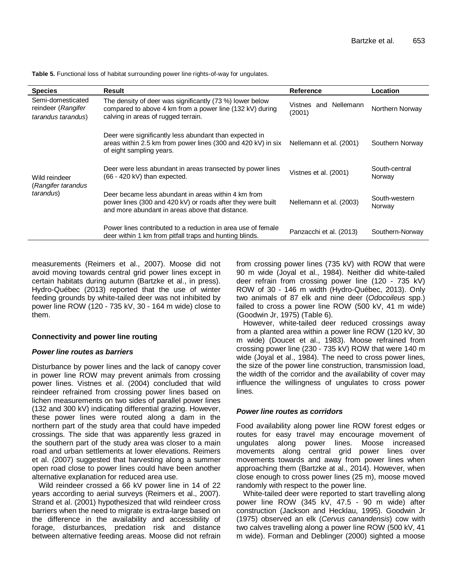| <b>Species</b>                                                | <b>Result</b>                                                                                                                                                         | <b>Reference</b>                | Location                |
|---------------------------------------------------------------|-----------------------------------------------------------------------------------------------------------------------------------------------------------------------|---------------------------------|-------------------------|
| Semi-domesticated<br>reindeer (Rangifer<br>tarandus tarandus) | The density of deer was significantly (73 %) lower below<br>compared to above 4 km from a power line (132 kV) during<br>calving in areas of rugged terrain.           | Vistnes and Nellemann<br>(2001) | Northern Norway         |
|                                                               | Deer were significantly less abundant than expected in<br>areas within 2.5 km from power lines (300 and 420 kV) in six<br>of eight sampling years.                    | Nellemann et al. (2001)         | Southern Norway         |
| Wild reindeer<br>(Rangifer tarandus                           | Deer were less abundant in areas transected by power lines<br>$(66 - 420 \text{ kV})$ than expected.                                                                  | Vistnes et al. (2001)           | South-central<br>Norway |
| tarandus)                                                     | Deer became less abundant in areas within 4 km from<br>power lines (300 and 420 kV) or roads after they were built<br>and more abundant in areas above that distance. | Nellemann et al. (2003)         | South-western<br>Norway |
|                                                               | Power lines contributed to a reduction in area use of female<br>deer within 1 km from pitfall traps and hunting blinds.                                               | Panzacchi et al. (2013)         | Southern-Norway         |

**Table 5.** Functional loss of habitat surrounding power line rights-of-way for ungulates.

measurements (Reimers et al., 2007). Moose did not avoid moving towards central grid power lines except in certain habitats during autumn (Bartzke et al., in press). Hydro-Québec (2013) reported that the use of winter feeding grounds by white-tailed deer was not inhibited by power line ROW (120 - 735 kV, 30 - 164 m wide) close to them.

#### **Connectivity and power line routing**

#### *Power line routes as barriers*

Disturbance by power lines and the lack of canopy cover in power line ROW may prevent animals from crossing power lines. Vistnes et al. (2004) concluded that wild reindeer refrained from crossing power lines based on lichen measurements on two sides of parallel power lines (132 and 300 kV) indicating differential grazing. However, these power lines were routed along a dam in the northern part of the study area that could have impeded crossings. The side that was apparently less grazed in the southern part of the study area was closer to a main road and urban settlements at lower elevations. Reimers et al. (2007) suggested that harvesting along a summer open road close to power lines could have been another alternative explanation for reduced area use.

Wild reindeer crossed a 66 kV power line in 14 of 22 years according to aerial surveys (Reimers et al., 2007). Strand et al. (2001) hypothesized that wild reindeer cross barriers when the need to migrate is extra-large based on the difference in the availability and accessibility of forage, disturbances, predation risk and distance between alternative feeding areas. Moose did not refrain from crossing power lines (735 kV) with ROW that were 90 m wide (Joyal et al., 1984). Neither did white-tailed deer refrain from crossing power line (120 - 735 kV) ROW of 30 - 146 m width (Hydro-Québec, 2013). Only two animals of 87 elk and nine deer (*Odocoileus* spp.) failed to cross a power line ROW (500 kV, 41 m wide) (Goodwin Jr, 1975) (Table 6).

However, white-tailed deer reduced crossings away from a planted area within a power line ROW (120 kV, 30 m wide) (Doucet et al., 1983). Moose refrained from crossing power line (230 - 735 kV) ROW that were 140 m wide (Joyal et al., 1984). The need to cross power lines, the size of the power line construction, transmission load, the width of the corridor and the availability of cover may influence the willingness of ungulates to cross power lines.

#### *Power line routes as corridors*

Food availability along power line ROW forest edges or routes for easy travel may encourage movement of ungulates along power lines. Moose increased movements along central grid power lines over movements towards and away from power lines when approaching them (Bartzke at al., 2014). However, when close enough to cross power lines (25 m), moose moved randomly with respect to the power line.

White-tailed deer were reported to start travelling along power line ROW (345 kV, 47.5 - 90 m wide) after construction (Jackson and Hecklau, 1995). Goodwin Jr (1975) observed an elk (*Cervus canandensis*) cow with two calves travelling along a power line ROW (500 kV, 41 m wide). Forman and Deblinger (2000) sighted a moose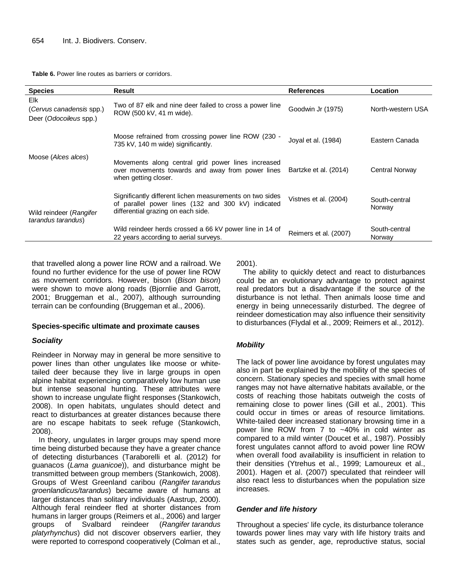**Table 6.** Power line routes as barriers or corridors.

| <b>Species</b>                                            | Result                                                                                                                                               | <b>References</b>     | Location                |
|-----------------------------------------------------------|------------------------------------------------------------------------------------------------------------------------------------------------------|-----------------------|-------------------------|
| Elk<br>(Cervus canadensis spp.)<br>Deer (Odocoileus spp.) | Two of 87 elk and nine deer failed to cross a power line<br>ROW (500 kV, 41 m wide).                                                                 | Goodwin Jr (1975)     | North-western USA       |
|                                                           | Moose refrained from crossing power line ROW (230 -<br>735 kV, 140 m wide) significantly.                                                            | Joyal et al. (1984)   | Eastern Canada          |
| Moose (Alces alces)                                       | Movements along central grid power lines increased<br>over movements towards and away from power lines<br>when getting closer.                       | Bartzke et al. (2014) | Central Norway          |
| Wild reindeer (Rangifer<br>tarandus tarandus)             | Significantly different lichen measurements on two sides<br>of parallel power lines (132 and 300 kV) indicated<br>differential grazing on each side. | Vistnes et al. (2004) | South-central<br>Norway |
|                                                           | Wild reindeer herds crossed a 66 kV power line in 14 of<br>22 years according to aerial surveys.                                                     | Reimers et al. (2007) | South-central<br>Norway |

that travelled along a power line ROW and a railroad. We found no further evidence for the use of power line ROW as movement corridors. However, bison (*Bison bison*) were shown to move along roads (Bjornlie and Garrott, 2001; Bruggeman et al., 2007), although surrounding terrain can be confounding (Bruggeman et al., 2006).

#### **Species-specific ultimate and proximate causes**

#### *Sociality*

Reindeer in Norway may in general be more sensitive to power lines than other ungulates like moose or whitetailed deer because they live in large groups in open alpine habitat experiencing comparatively low human use but intense seasonal hunting. These attributes were shown to increase ungulate flight responses (Stankowich, 2008). In open habitats, ungulates should detect and react to disturbances at greater distances because there are no escape habitats to seek refuge (Stankowich, 2008).

In theory, ungulates in larger groups may spend more time being disturbed because they have a greater chance of detecting disturbances (Taraborelli et al. (2012) for guanacos (*Lama guanicoe*)), and disturbance might be transmitted between group members (Stankowich, 2008). Groups of West Greenland caribou (*Rangifer tarandus groenlandicus/tarandus*) became aware of humans at larger distances than solitary individuals (Aastrup, 2000). Although feral reindeer fled at shorter distances from humans in larger groups (Reimers et al., 2006) and larger<br>groups of Svalbard reindeer (Rangifer tarandus groups of Svalbard reindeer (*Rangifer tarandus platyrhynchus*) did not discover observers earlier, they were reported to correspond cooperatively (Colman et al.,

2001).

The ability to quickly detect and react to disturbances could be an evolutionary advantage to protect against real predators but a disadvantage if the source of the disturbance is not lethal. Then animals loose time and energy in being unnecessarily disturbed. The degree of reindeer domestication may also influence their sensitivity to disturbances (Flydal et al., 2009; Reimers et al., 2012).

### *Mobility*

The lack of power line avoidance by forest ungulates may also in part be explained by the mobility of the species of concern. Stationary species and species with small home ranges may not have alternative habitats available, or the costs of reaching those habitats outweigh the costs of remaining close to power lines (Gill et al., 2001). This could occur in times or areas of resource limitations. White-tailed deer increased stationary browsing time in a power line ROW from 7 to ~40% in cold winter as compared to a mild winter (Doucet et al., 1987). Possibly forest ungulates cannot afford to avoid power line ROW when overall food availability is insufficient in relation to their densities (Ytrehus et al., 1999; Lamoureux et al., 2001). Hagen et al. (2007) speculated that reindeer will also react less to disturbances when the population size increases.

#### *Gender and life history*

Throughout a species' life cycle, its disturbance tolerance towards power lines may vary with life history traits and states such as gender, age, reproductive status, social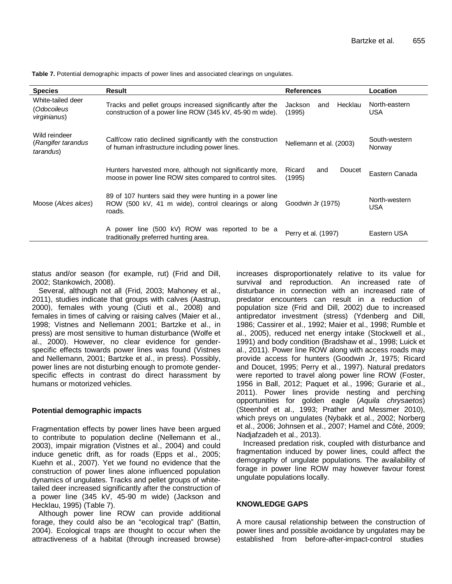| <b>Species</b>                                   | Result                                                                                                                    | <b>References</b>                   | Location                |
|--------------------------------------------------|---------------------------------------------------------------------------------------------------------------------------|-------------------------------------|-------------------------|
| White-tailed deer<br>(Odocoileus<br>virginianus) | Tracks and pellet groups increased significantly after the<br>construction of a power line ROW (345 kV, 45-90 m wide).    | Hecklau<br>Jackson<br>and<br>(1995) | North-eastern<br>USA    |
| Wild reindeer<br>(Rangifer tarandus<br>tarandus) | Calf/cow ratio declined significantly with the construction<br>of human infrastructure including power lines.             | Nellemann et al. (2003)             | South-western<br>Norway |
|                                                  | Hunters harvested more, although not significantly more,<br>moose in power line ROW sites compared to control sites.      | Ricard<br>Doucet<br>and<br>(1995)   | Eastern Canada          |
| Moose (Alces alces)                              | 89 of 107 hunters said they were hunting in a power line<br>ROW (500 kV, 41 m wide), control clearings or along<br>roads. | Goodwin Jr (1975)                   | North-western<br>USA    |
|                                                  | A power line (500 kV) ROW was reported to be a<br>traditionally preferred hunting area.                                   | Perry et al. (1997)                 | Eastern USA             |

**Table 7.** Potential demographic impacts of power lines and associated clearings on ungulates.

status and/or season (for example, rut) (Frid and Dill, 2002; Stankowich, 2008).

Several, although not all (Frid, 2003; Mahoney et al., 2011), studies indicate that groups with calves (Aastrup, 2000), females with young (Ciuti et al., 2008) and females in times of calving or raising calves (Maier et al., 1998; Vistnes and Nellemann 2001; Bartzke et al., in press) are most sensitive to human disturbance (Wolfe et al., 2000). However, no clear evidence for genderspecific effects towards power lines was found (Vistnes and Nellemann, 2001; Bartzke et al., in press). Possibly, power lines are not disturbing enough to promote genderspecific effects in contrast do direct harassment by humans or motorized vehicles.

#### **Potential demographic impacts**

Fragmentation effects by power lines have been argued to contribute to population decline (Nellemann et al., 2003), impair migration (Vistnes et al., 2004) and could induce genetic drift, as for roads (Epps et al., 2005; Kuehn et al., 2007). Yet we found no evidence that the construction of power lines alone influenced population dynamics of ungulates. Tracks and pellet groups of whitetailed deer increased significantly after the construction of a power line (345 kV, 45-90 m wide) (Jackson and Hecklau, 1995) (Table 7).

Although power line ROW can provide additional forage, they could also be an "ecological trap" (Battin, 2004). Ecological traps are thought to occur when the attractiveness of a habitat (through increased browse) increases disproportionately relative to its value for survival and reproduction. An increased rate of disturbance in connection with an increased rate of predator encounters can result in a reduction of population size (Frid and Dill, 2002) due to increased antipredator investment (stress) (Ydenberg and Dill, 1986; Cassirer et al., 1992; Maier et al., 1998; Rumble et al., 2005), reduced net energy intake (Stockwell et al., 1991) and body condition (Bradshaw et al., 1998; Luick et al., 2011). Power line ROW along with access roads may provide access for hunters (Goodwin Jr, 1975; Ricard and Doucet, 1995; Perry et al., 1997). Natural predators were reported to travel along power line ROW (Foster, 1956 in Ball, 2012; Paquet et al., 1996; Gurarie et al., 2011). Power lines provide nesting and perching opportunities for golden eagle (*Aquila chrysaetos*) (Steenhof et al., 1993; Prather and Messmer 2010), which preys on ungulates (Nybakk et al., 2002; Norberg et al., 2006; Johnsen et al., 2007; Hamel and Côté, 2009; Nadjafzadeh et al., 2013).

Increased predation risk, coupled with disturbance and fragmentation induced by power lines, could affect the demography of ungulate populations. The availability of forage in power line ROW may however favour forest ungulate populations locally.

#### **KNOWLEDGE GAPS**

A more causal relationship between the construction of power lines and possible avoidance by ungulates may be established from before-after-impact-control studies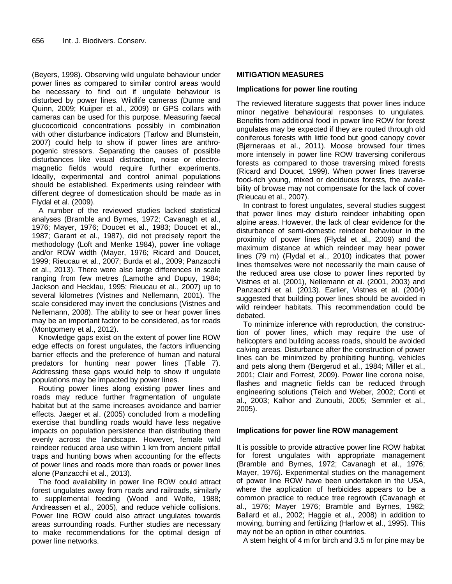(Beyers, 1998). Observing wild ungulate behaviour under power lines as compared to similar control areas would be necessary to find out if ungulate behaviour is disturbed by power lines. Wildlife cameras (Dunne and Quinn, 2009; Kuijper et al., 2009) or GPS collars with cameras can be used for this purpose. Measuring faecal glucocorticoid concentrations possibly in combination with other disturbance indicators (Tarlow and Blumstein, 2007) could help to show if power lines are anthropogenic stressors. Separating the causes of possible disturbances like visual distraction, noise or electromagnetic fields would require further experiments. Ideally, experimental and control animal populations should be established. Experiments using reindeer with different degree of domestication should be made as in Flydal et al. (2009).

A number of the reviewed studies lacked statistical analyses (Bramble and Byrnes, 1972; Cavanagh et al., 1976; Mayer, 1976; Doucet et al., 1983; Doucet et al., 1987; Garant et al., 1987), did not precisely report the methodology (Loft and Menke 1984), power line voltage and/or ROW width (Mayer, 1976; Ricard and Doucet, 1999; Rieucau et al., 2007; Burda et al., 2009; Panzacchi et al., 2013). There were also large differences in scale ranging from few metres (Lamothe and Dupuy, 1984; Jackson and Hecklau, 1995; Rieucau et al., 2007) up to several kilometres (Vistnes and Nellemann, 2001). The scale considered may invert the conclusions (Vistnes and Nellemann, 2008). The ability to see or hear power lines may be an important factor to be considered, as for roads (Montgomery et al., 2012).

Knowledge gaps exist on the extent of power line ROW edge effects on forest ungulates, the factors influencing barrier effects and the preference of human and natural predators for hunting near power lines (Table 7). Addressing these gaps would help to show if ungulate populations may be impacted by power lines.

Routing power lines along existing power lines and roads may reduce further fragmentation of ungulate habitat but at the same increases avoidance and barrier effects. Jaeger et al. (2005) concluded from a modelling exercise that bundling roads would have less negative impacts on population persistence than distributing them evenly across the landscape. However, female wild reindeer reduced area use within 1 km from ancient pitfall traps and hunting bows when accounting for the effects of power lines and roads more than roads or power lines alone (Panzacchi et al., 2013).

The food availability in power line ROW could attract forest ungulates away from roads and railroads, similarly to supplemental feeding (Wood and Wolfe, 1988; Andreassen et al., 2005), and reduce vehicle collisions. Power line ROW could also attract ungulates towards areas surrounding roads. Further studies are necessary to make recommendations for the optimal design of power line networks.

#### **MITIGATION MEASURES**

#### **Implications for power line routing**

The reviewed literature suggests that power lines induce minor negative behavioural responses to ungulates. Benefits from additional food in power line ROW for forest ungulates may be expected if they are routed through old coniferous forests with little food but good canopy cover (Bjørneraas et al., 2011). Moose browsed four times more intensely in power line ROW traversing coniferous forests as compared to those traversing mixed forests (Ricard and Doucet, 1999). When power lines traverse food-rich young, mixed or deciduous forests, the availability of browse may not compensate for the lack of cover (Rieucau et al., 2007).

In contrast to forest ungulates, several studies suggest that power lines may disturb reindeer inhabiting open alpine areas. However, the lack of clear evidence for the disturbance of semi-domestic reindeer behaviour in the proximity of power lines (Flydal et al., 2009) and the maximum distance at which reindeer may hear power lines (79 m) (Flydal et al., 2010) indicates that power lines themselves were not necessarily the main cause of the reduced area use close to power lines reported by Vistnes et al. (2001), Nellemann et al. (2001, 2003) and Panzacchi et al. (2013). Earlier, Vistnes et al. (2004) suggested that building power lines should be avoided in wild reindeer habitats. This recommendation could be debated.

To minimize inference with reproduction, the construction of power lines, which may require the use of helicopters and building access roads, should be avoided calving areas. Disturbance after the construction of power lines can be minimized by prohibiting hunting, vehicles and pets along them (Bergerud et al., 1984; Miller et al., 2001; Clair and Forrest, 2009). Power line corona noise, flashes and magnetic fields can be reduced through engineering solutions (Teich and Weber, 2002; Conti et al., 2003; Kalhor and Zunoubi, 2005; Semmler et al., 2005).

#### **Implications for power line ROW management**

It is possible to provide attractive power line ROW habitat for forest ungulates with appropriate management (Bramble and Byrnes, 1972; Cavanagh et al., 1976; Mayer, 1976). Experimental studies on the management of power line ROW have been undertaken in the USA, where the application of herbicides appears to be a common practice to reduce tree regrowth (Cavanagh et al., 1976; Mayer 1976; Bramble and Byrnes, 1982; Ballard et al., 2002; Haggie et al., 2008) in addition to mowing, burning and fertilizing (Harlow et al., 1995). This may not be an option in other countries.

A stem height of 4 m for birch and 3.5 m for pine may be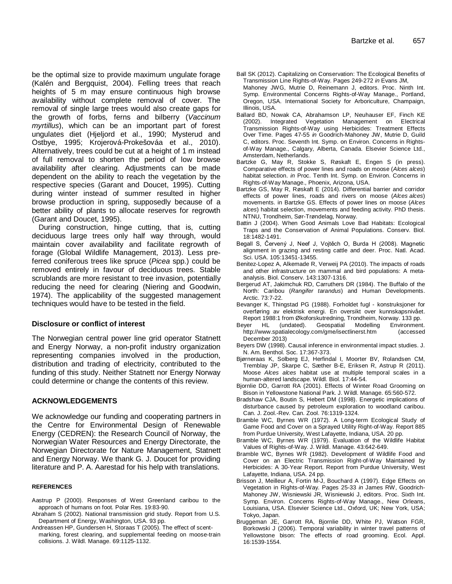be the optimal size to provide maximum ungulate forage (Kalén and Bergquist, 2004). Felling trees that reach heights of 5 m may ensure continuous high browse availability without complete removal of cover. The removal of single large trees would also create gaps for the growth of forbs, ferns and bilberry (*Vaccinum myrtillus*), which can be an important part of forest ungulates diet (Hjeljord et al., 1990; Mysterud and Ostbye, 1995; Krojerová-Prokešováa et al., 2010). Alternatively, trees could be cut at a height of 1 m instead of full removal to shorten the period of low browse availability after clearing. Adjustments can be made dependent on the ability to reach the vegetation by the respective species (Garant and Doucet, 1995). Cutting during winter instead of summer resulted in higher browse production in spring, supposedly because of a better ability of plants to allocate reserves for regrowth (Garant and Doucet, 1995).

During construction, hinge cutting, that is, cutting deciduous large trees only half way through, would maintain cover availability and facilitate regrowth of forage (Global Wildlife Management, 2013). Less preferred coniferous trees like spruce (*Picea* spp.) could be removed entirely in favour of deciduous trees. Stable scrublands are more resistant to tree invasion, potentially reducing the need for clearing (Niering and Goodwin, 1974). The applicability of the suggested management techniques would have to be tested in the field.

#### **Disclosure or conflict of interest**

The Norwegian central power line grid operator Statnett and Energy Norway, a non-profit industry organization representing companies involved in the production, distribution and trading of electricity, contributed to the funding of this study. Neither Statnett nor Energy Norway could determine or change the contents of this review.

#### **ACKNOWLEDGEMENTS**

We acknowledge our funding and cooperating partners in the Centre for Environmental Design of Renewable Energy (CEDREN): the Research Council of Norway, the Norwegian Water Resources and Energy Directorate, the Norwegian Directorate for Nature Management, Statnett and Energy Norway. We thank G. J. Doucet for providing literature and P. A. Aarestad for his help with translations.

#### **REFERENCES**

- Aastrup P (2000). Responses of West Greenland caribou to the approach of humans on foot. Polar Res. 19:83-90.
- Abraham S (2002). National transmission grid study. Report from U.S. Department of Energy, Washington, USA. 93 pp.
- Andreassen HP, Gundersen H, Storaas T (2005). The effect of scentmarking, forest clearing, and supplemental feeding on moose-train collisions. J. Wildl. Manage. 69:1125-1132.
- Ball SK (2012). Capitalizing on Conservation: The Ecological Benefits of Transmission Line Rights-of-Way. Pages 249-272 *in* Evans JM, Mahoney JWG, Mutrie D, Reinemann J, editors. Proc. Ninth Int. Symp. Environmental Concerns Rights-of-Way Manage., Portland, Oregon, USA. International Society for Arboriculture, Champaign, Illinois, USA.
- Ballard BD, Nowak CA, Abrahamson LP, Neuhauser EF, Finch KE (2002). Integrated Vegetation Management on Electrical Transmission Rights-of-Way using Herbicides: Treatment Effects Over Time. Pages 47-55 *in* Goodrich-Mahoney JW, Mutrie D, Guild C, editors. Proc. Seventh Int. Symp. on Environ. Concerns in Rightsof-Way Manage., Calgary, Alberta, Canada. Elsevier Science Ltd., Amsterdam, Netherlands.
- Bartzke G, May R, Stokke S, Røskaft E, Engen S (in press). Comparative effects of power lines and roads on moose (*Alces alces*) habitat selection. *in* Proc. Tenth Int. Symp. on Environ. Concerns in Rights-of-Way Manage., Phoenix, Arizona, USA.
- Bartzke GS, May R, Røskaft E (2014). Differential barrier and corridor effects of power lines, roads and rivers on moose (*Alces alces*) movements. in Bartzke GS. Effects of power lines on moose (*Alces alces*) habitat selection, movements and feeding activity. PhD thesis. NTNU, Trondheim, Sør-Trøndelag, Norway.
- Battin J (2004). When Good Animals Love Bad Habitats: Ecological Traps and the Conservation of Animal Populations. Conserv. Biol. 18:1482-1491.
- Begall S, Červený J, Neef J, Vojtěch O, Burda H (2008). Magnetic alignment in grazing and resting cattle and deer. Proc. Natl. Acad. Sci. USA. 105:13451-13455.
- Benitez-Lopez A, Alkemade R, Verweij PA (2010). The impacts of roads and other infrastructure on mammal and bird populations: A metaanalysis. Biol. Conserv. 143:1307-1316.
- Bergerud AT, Jakimchuk RD, Carruthers DR (1984). The Buffalo of the North: Caribou (*Rangifer tarandus*) and Human Developments. Arctic. 73:7-22.
- Bevanger K, Thingstad PG (1988). Forholdet fugl konstruksjoner for overføring av elektrisk energi. En oversikt over kunnskapsnivået. Report 1988:1 from Økoforskutredning, Trondheim, Norway. 133 pp.
- Beyer HL (undated). Geospatial Modelling Environment.<br>http://www.spatialecology.com/gme/isectlinerst.htm (accessed <http://www.spatialecology.com/gme/isectlinerst.htm> December 2013)
- Beyers DW (1998). Causal inference in environmental impact studies. J. N. Am. Benthol. Soc. 17:367-373.
- Bjørneraas K, Solberg EJ, Herfindal I, Moorter BV, Rolandsen CM, Tremblay JP, Skarpe C, Sæther B-E, Eriksen R, Astrup R (2011). Moose *Alces alces* habitat use at multiple temporal scales in a human-altered landscape. Wildl. Biol. 17:44-54.
- Bjornlie DD, Garrott RA (2001). Effects of Winter Road Grooming on Bison in Yellowstone National Park. J. Wildl. Manage. 65:560-572.
- Bradshaw CJA, Boutin S, Hebert DM (1998). Energetic implications of disturbance caused by petroleum exploration to woodland caribou. Can. J. Zool.-Rev. Can. Zool. 76:1319-1324.
- Bramble WC, Byrnes WR (1972). A Long-term Ecological Study of Game Food and Cover on a Sprayed Utility Right-of-Way. Report 885 from Purdue University, West Lafayette, Indiana, USA. 20 pp.
- Bramble WC, Byrnes WR (1979). Evaluation of the Wildlife Habitat Values of Rights-of-Way. J. Wildl. Manage. 43:642-649.
- Bramble WC, Byrnes WR (1982). Development of Wildlife Food and Cover on an Electric Transmission Right-of-Way Maintained by Herbicides: A 30-Year Report. Report from Purdue University, West Lafayette, Indiana, USA. 24 pp.
- Brisson J, Meilleur A, Fortin M-J, Bouchard A (1997). Edge Effects on Vegetation in Rights-of-Way. Pages 25-33 *in* James RW, Goodrich-Mahoney JW, Wisniewski JR, Wisniewski J, editors. Proc. Sixth Int. Symp. Environ. Concerns Rights-of-Way Manage., New Orleans, Louisiana, USA. Elsevier Science Ltd., Oxford, UK; New York, USA; Tokyo, Japan.
- Bruggeman JE, Garrott RA, Bjornlie DD, White PJ, Watson FGR, Borkowski J (2006). Temporal variability in winter travel patterns of Yellowstone bison: The effects of road grooming. Ecol. Appl. 16:1539-1554.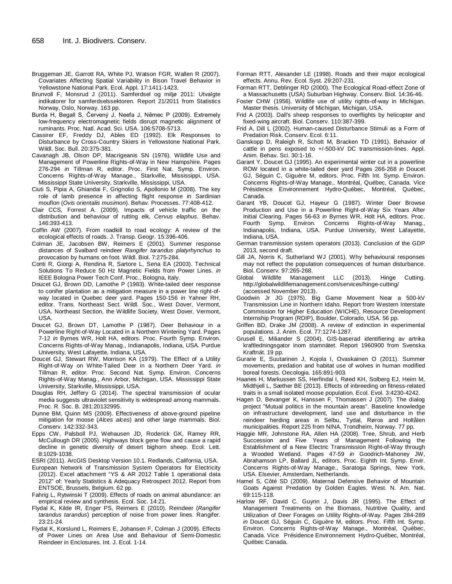- Bruggeman JE, Garrott RA, White PJ, Watson FGR, Wallen R (2007). Covariates Affecting Spatial Variability in Bison Travel Behavior in Yellowstone National Park. Ecol. Appl. 17:1411-1423.
- Brunvoll F, Monsrud J (2011). Samferdsel og miljø 2011: Utvalgte indikatorer for samferdselssektoren. Report 21/2011 from Statistics Norway, Oslo, Norway. 163 pp.
- Burda H, Begall S, Červený J, Neefa J, Němec P (2009). Extremely low-frequency electromagnetic fields disrupt magnetic alignment of ruminants. Proc. Natl. Acad. Sci. USA. 106:5708-5713.
- Cassirer EF, Freddy DJ, Ables ED (1992). Elk Responses to Disturbance by Cross-Country Skiers in Yellowstone National Park. Wildl. Soc. Bull. 20:375-381.
- Cavanagh JB, Olson DP, Macrigeanis SN (1976). Wildlife Use and Management of Powerline Rights-of-Way in New Hampshire. Pages 276-294 *in* Tillman R, editor. Proc. First Nat. Symp. Environ. Concerns Rights-of-Way Manage., Starkville, Mississippi, USA. Mississippi State University, Starkville, Mississippi, USA.
- Ciuti S, Pipia A, Ghiandai F, Grignolio S, Apollonio M (2008). The key role of lamb presence in affecting flight response in Sardinian mouflon (*Ovis orientalis musimon*). Behav. Processes. 77:408-412.
- Clair CCS, Forrest A. (2009). Impacts of vehicle traffic on the distribution and behaviour of rutting elk, *Cervus elaphus*. Behav. 146:393-413.
- Coffin AW (2007). From roadkill to road ecology: A review of the ecological effects of roads. J. Transp. Geogr. 15:396-406.
- Colman JE, Jacobsen BW, Reimers E (2001). Summer response distances of Svalbard reindeer *Rangifer tarandus platyrhynchus* to provocation by humans on foot. Wildl. Biol. 7:275-284.
- Conti R, Giorgi A, Rendina R, Sartore L, Sena EA (2003). Technical Solutions To Reduce 50 Hz Magnetic Fields from Power Lines. *in* IEEE Bologna Power Tech Conf. Proc., Bologna, Italy.
- Doucet GJ, Brown DD, Lamothe P (1983). White-tailed deer response to conifer plantation as a mitigation measure in a power line right-ofway located in Quebec deer yard. Pages 150-156 *in* Yahner RH, editor. Trans. Northeast Sect. Wildl. Soc., West Dover, Vermont, USA. Northeast Section, the Wildlife Society, West Dover, Vermont, USA.
- Doucet GJ, Brown DT, Lamothe P (1987). Deer Behaviour in a Powerline Right-of-Way Located in a Northern Wintering Yard. Pages 7-12 *in* Byrnes WR, Holt HA, editors. Proc. Fourth Symp. Environ. Concerns Rights-of-Way Manag., Indianapolis, Indiana, USA. Purdue University, West Lafayette, Indiana, USA.
- Doucet GJ, Stewart RW, Morrison KA (1979). The Effect of a Utility Right-of-Way on White-Tailed Deer in a Northern Deer Yard. *in* Tillman R, editor. Proc. Second Nat. Symp. Environ. Concerns Rights-of-Way Manag., Ann Arbor, Michigan, USA. Mississippi State University, Starkville, Mississippi, USA.
- Douglas RH, Jeffery G (2014). The spectral transmission of ocular media suggests ultraviolet sensitivity is widespread among mammals. Proc. R. Soc. B. 281:20132995.
- Dunne BM, Quinn MS (2009). Effectiveness of above-ground pipeline mitigation for moose (*Alces alces*) and other large mammals. Biol. Conserv. 142:332-343.
- Epps CW, Palsboll PJ, Wehausen JD, Roderick GK, Ramey RR, McCullough DR (2005). Highways block gene flow and cause a rapid decline in genetic diversity of desert bighorn sheep. Ecol. Lett. 8:1029-1038.
- ESRI (2011). ArcGIS Desktop Version 10.1. Redlands, California, USA.
- European Network of Transmission System Operators for Electricity (2012). Excel attachment "YS & AR 2012 Table 1 operational data 2012" of: Yearly Statistics & Adequacy Retrospect 2012. Report from ENTSOE, Brussels, Belgium. 62 pp.
- Fahrig L, Rytwinski T (2009). Effects of roads on animal abundance: an empirical review and synthesis. Ecol. Soc. 14:21.
- Flydal K, Kilde IR, Enger PS, Reimers E (2010). Reindeer (*Rangifer tarandus tarandus*) perception of noise from power lines. Rangifer. 23:21-24.
- Flydal K, Korslund L, Reimers E, Johansen F, Colman J (2009). Effects of Power Lines on Area Use and Behaviour of Semi-Domestic Reindeer in Enclosures. Int. J. Ecol. 1-14.
- Forman RTT, Alexander LE (1998). Roads and their major ecological effects. Annu. Rev. Ecol. Syst. 29:207-231.
- Forman RTT, Deblinger RD (2000). The Ecological Road-effect Zone of a Massachusetts (USA) Suburban Highway. Conserv. Biol. 14:36-46.
- Foster CHW (1956). Wildlife use of utility rights-of-way in Michigan. Master thesis. University of Michigan, Michigan, USA.
- Frid A (2003). Dall's sheep responses to overflights by helicopter and fixed-wing aircraft. Biol. Conserv. 110:387-399.
- Frid A, Dill L (2002). Human-caused Disturbance Stimuli as a Form of Predation Risk. Conserv. Ecol. 6:11.
- Ganskopp D, Raleigh R, Schott M, Bracken TD (1991). Behavior of cattle in pens exposed to +/-500-kV DC transmission-lines. Appl. Anim. Behav. Sci. 30:1-16.
- Garant Y, Doucet GJ (1995). An experimental winter cut in a powerline ROW located in a white-tailed deer yard Pages 266-268 *in* Doucet GJ, Séguin C, Giguère M, editors. Proc. Fifth Int. Symp. Environ. Concerns Rights-of-Way Manage., Montréal, Québec, Canada. Vice Présidence Environnement Hydro-Québec, Montréal, Québec, Canada.
- Garant YB, Doucet GJ, Hayeur G (1987). Winter Deer Browse Production and Use in a Powerline Right-of-Way Six Years After Initial Clearing. Pages 56-63 *in* Byrnes WR, Holt HA, editors. Proc. Fourth Symp. Environ. Concerns Rights-of-Way Manag., Indianapolis, Indiana, USA. Purdue University, West Lafayette, Indiana, USA.
- German transmission system operators (2013). Conclusion of the GDP 2013, second draft.
- Gill JA, Norris K, Sutherland WJ (2001). Why behavioural responses may not reflect the population consequences of human disturbance. Biol. Conserv. 97:265-268.
- Global Wildlife Management LLC (2013). Hinge Cutting. http://globalwildlifemanagement.com/services/hinge-cutting/ (accessed November 2013).
- Goodwin Jr JG (1975). Big Game Movement Near a 500-kV Transmission Line in Northern Idaho. Report from Western Interstate Commission for Higher Education (WICHE), Resource Development Internship Program (RDIP), Boulder, Colorado, USA. 56 pp.
- Griffen BD, Drake JM (2008). A review of extinction in experimental populations. J. Anim. Ecol. 77:1274-1287.
- Grusell E, Miliander S (2004). GIS-baserad identifiering av artrika kraftledningsgator inom stamnätet. Report 1960900 from Svenska Kraftnät. 19 pp.
- Gurarie E, Suutarinen J, Kojola I, Ovaskainen O (2011). Summer movements, predation and habitat use of wolves in human modified boreal forests. Oecologia. 165:891-903.
- Haanes H, Markussen SS, Herfindal I, Røed KH, Solberg EJ, Heim M, Midthjell L, Sæther BE (2013). Effects of inbreeding on fitness-related traits in a small isolated moose population. Ecol. Evol. 3:4230-4242.
- Hagen D, Bevanger K, Hanssen F, Thomassen J (2007). The dialog project "Mutual politics in the mountain areas". Baseline knowledge on infrastructure development, land use and disturbance in the reindeer herding areas in Selbu, Tydal, Røros and Holtålen municipalities. Report 225 from NINA, Trondheim, Norway. 77 pp.
- Haggie MR, Johnstone RA, Allen HA (2008). Tree, Shrub, and Herb Succession and Five Years of Management Following the Establishment of a New Electric Transmission Right-of-Way through a Wooded Wetland. Pages 47-59 *in* Goodrich-Mahoney JW, Abrahamson LP, Ballard JL, editors. Proc. Eighth Int. Symp. Envir. Concerns Rights-of-Way Manage., Saratoga Springs, New York, USA. Elsevier, Amsterdam, Netherlands.
- Hamel S, Côté SD (2009). Maternal Defensive Behavior of Mountain Goats Against Predation by Golden Eagles. West. N. Am. Nat. 69:115-118.
- Harlow RF, David C. Guynn J, Davis JR (1995). The Effect of Management Treatments on the Biomass, Nutritive Quality, and Utilization of Deer Forages on Utility Rights-of-Way. Pages 284-289 *in* Doucet GJ, Séguin C, Giguère M, editors. Proc. Fifth Int. Symp. Environ. Concerns Rights-of-Way Manage., Montréal, Québec, Canada. Vice Présidence Environnement Hydro-Québec, Montréal, Québec Canada.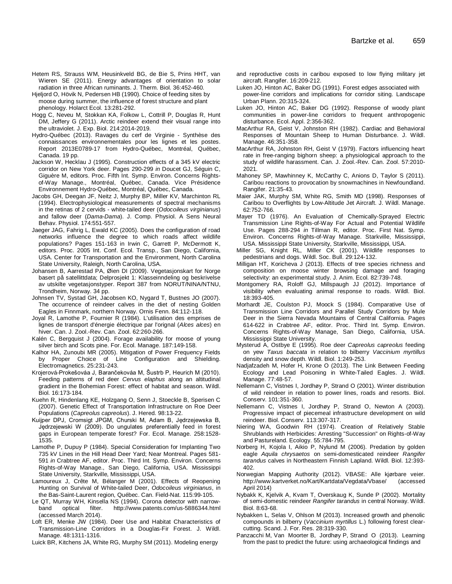- Hetem RS, Strauss WM, Heusinkveld BG, de Bie S, Prins HHT, van Wieren SE (2011). Energy advantages of orientation to solar radiation in three African ruminants. J. Therm. Biol. 36:452-460.
- Hjeljord O, Hövik N, Pedersen HB (1990). Choice of feeding sites by moose during summer, the influence of forest structure and plant phenology. Holarct Ecol. 13:281-292.
- Hogg C, Neveu M, Stokkan KA, Folkow L, Cottrill P, Douglas R, Hunt DM, Jeffery G (2011). Arctic reindeer extend their visual range into the ultraviolet. J. Exp. Biol. 214:2014-2019.
- Hydro-Québec (2013). Ravages du cerf de Virginie Synthèse des connaissances environnementales pour les lignes et les postes. Report 2013E0789-17 from Hydro-Québec, Montréal, Québec, Canada. 19 pp.
- Jackson W, Hecklau J (1995). Construction effects of a 345 kV electric corridor on New York deer. Pages 290-299 *in* Doucet GJ, Séguin C, Giguère M, editors. Proc. Fifth Int. Symp. Environ. Concerns Rightsof-Way Manage., Montréal, Québec, Canada. Vice Présidence Environnement Hydro-Québec, Montréal, Québec, Canada.
- Jacobs GH, Deegan JF, Neitz J, Murphy BP, Miller KV, Marchinton RL (1994). Electrophysiological measurements of spectral mechanisms in the retinas of 2 cervids - white-tailed deer (*Odocoileus virginianus*) and fallow deer (*Dama-Dama*). J. Comp. Physiol. A Sens Neural Behav. Physiol. 174:551-557.
- Jaeger JAG, Fahrig L, Ewald KC (2005). Does the configuration of road networks influence the degree to which roads affect wildlife populations? Pages 151-163 in Irwin C, Garrett P, McDermott K, editors. Proc. 2005 Int. Conf. Ecol. Transp., San Diego, California, USA. Center for Transportation and the Environment, North Carolina State University, Raleigh, North Carolina, USA.
- Johansen B, Aarrestad PA, Øien DI (2009). Vegetasjonskart for Norge basert på satellittdata; Delprosjekt 1: Klasseinndeling og beskrivelse av utskilte vegetasjonstyper. Report 387 from NORUT/NINA/NTNU, Trondheim, Norway. 34 pp.
- Johnsen TV, Systad GH, Jacobsen KO, Nygard T, Bustnes JO (2007). The occurrence of reindeer calves in the diet of nesting Golden Eagles in Finnmark, northern Norway. Ornis Fenn. 84:112-118.
- Joyal R, Lamothe P, Fournier R (1984). L'utilisation des emprises de lignes de transport d'énergie électrique par l'orignal (*Alces alces*) en hiver. Can. J. Zool.-Rev. Can. Zool. 62:260-266.
- Kalén C, Bergquist J (2004). Forage availability for moose of young silver birch and Scots pine. For. Ecol. Manage. 187:149-158.
- Kalhor HA, Zunoubi MR (2005). Mitigation of Power Frequency Fields by Proper Choice of Line Configuration and Shielding. Electromagnetics. 25:231-243.
- Krojerová-Prokešováa J, Barančekováa M, Šustrb P, Heurich M (2010). Feeding patterns of red deer *Cervus elaphus* along an altitudinal gradient in the Bohemian Forest: effect of habitat and season. Wildl. Biol. 16:173-184.
- Kuehn R, Hindenlang KE, Holzgang O, Senn J, Stoeckle B, Sperisen C (2007). Genetic Effect of Transportation Infrastructure on Roe Deer Populations (*Capreolus capreolus*). J. Hered. 98:13-22.
- Kuijper DPJ, Cromsigt JPGM, Churski M, Adam B, Jędrzejewska B, Jędrzejewski W (2009). Do ungulates preferentially feed in forest gaps in European temperate forest? For. Ecol. Manage. 258:1528- 1535.
- Lamothe P, Dupuy P (1984). Special Consideration for Implanting Two 735 kV Lines in the Hill Head Deer Yard; Near Montreal. Pages 581- 591 *in* Crabtree AF, editor. Proc. Third Int. Symp. Environ. Concerns Rights-of-Way Manage., San Diego, California, USA. Mississippi State University, Starkville, Mississippi, USA.
- Lamoureux J, Crête M, Bélanger M (2001). Effects of Reopening Hunting on Survival of White-tailed Deer, *Odocoileus virginianus*, in the Bas-Saint-Laurent region, Québec. Can. Field-Nat. 115:99-105.
- Le QT, Murray WH, Kinsella NS (1994). Corona detector with narrowband optical filter. <http://www.patents.com/us-5886344.html> (accessed March 2014).
- Loft ER, Menke JW (1984). Deer Use and Habitat Characteristics of Transmission-Line Corridors in a Douglas-Fir Forest. J. Wildl. Manage. 48:1311-1316.
- Luick BR, Kitchens JA, White RG, Murphy SM (2011). Modeling energy
- and reproductive costs in caribou exposed to low flying military jet aircraft. Rangifer. 16:209-212.
- Luken JO, Hinton AC, Baker DG (1991). Forest edges associated with power-line corridors and implications for corridor siting. Landscape Urban Plann. 20:315-324.
- Luken JO, Hinton AC, Baker DG (1992). Response of woody plant communities in power-line corridors to frequent anthropogenic disturbance. Ecol. Appl. 2:356-362.
- MacArthur RA, Geist V, Johnston RH (1982). Cardiac and Behavioral Responses of Mountain Sheep to Human Disturbance. J. Wildl. Manage. 46:351-358.
- MacArthur RA, Johnston RH, Geist V (1979). Factors influencing heart rate in free-ranging bighorn sheep: a physiological approach to the study of wildlife harassment. Can. J. Zool.-Rev. Can. Zool. 57:2010- 2021.
- Mahoney SP, Mawhinney K, McCarthy C, Anions D, Taylor S (2011). Caribou reactions to provocation by snowmachines in Newfoundland. Rangifer. 21:35-43.
- Maier JAK, Murphy SM, White RG, Smith MD (1998). Responses of Caribou to Overflights by Low-Altitude Jet Aircraft. J. Wildl. Manage. 62:752-766.
- Mayer TD (1976). An Evaluation of Chemically-Sprayed Electric Transmission Line Rights-of-Way For Actual and Potential Wildlife Use. Pages 288-294 *in* Tillman R, editor. Proc. First Nat. Symp. Environ. Concerns Rights-of-Way Manage. Starkville, Mississippi, USA. Mississippi State University, Starkville, Mississippi, USA.
- Miller SG, Knight RL, Miller CK (2001). Wildlife responses to pedestrians and dogs. Wildl. Soc. Bull. 29:124-132.
- Milligan HT, Koricheva J (2013). Effects of tree species richness and composition on moose winter browsing damage and foraging selectivity: an experimental study. J. Anim. Ecol. 82:739-748.
- Montgomery RA, Roloff GJ, Millspaugh JJ (2012). Importance of visibility when evaluating animal response to roads. Wildl. Biol. 18:393-405.
- Morhardt JE, Coulston PJ, Moock S (1984). Comparative Use of Transmission Line Corridors and Parallel Study Corridors by Mule Deer in the Sierra Nevada Mountains of Central California. Pages 614-622 in Crabtree AF, editor. Proc. Third Int. Symp. Environ. Concerns Rights-of-Way Manage, San Diego, California, USA. Mississippi State University.
- Mysterud A, Ostbye E (1995). Roe deer *Capreolus capreolus* feeding on yew *Taxus baccata* in relation to bilberry *Vaccinium myrtillus* density and snow depth. Wildl. Biol. 1:249-253.
- Nadjafzadeh M, Hofer H, Krone O (2013). The Link Between Feeding Ecology and Lead Poisoning in White-Tailed Eagles. J. Wildl. Manage. 77:48-57.
- Nellemann C, Vistnes I, Jordhøy P, Strand O (2001). Winter distribution of wild reindeer in relation to power lines, roads and resorts. Biol. Conserv. 101:351-360.
- Nellemann C, Vistnes I, Jordhøy P, Strand O, Newton A (2003). Progressive impact of piecemeal infrastructure development on wild reindeer. Biol. Conserv. 113:307-317.
- Niering WA, Goodwin RH (1974). Creation of Relatively Stable Shrublands with Herbicides: Arresting "Succession" on Rights-of-Way and Pastureland. Ecology. 55:784-795.
- Norberg H, Kojola I, Aikio P, Nylund M (2006). Predation by golden eagle *Aquila chrysaetos* on semi-domesticated reindeer *Rangifer tarandus* calves in Northeastern Finnish Lapland. Wildl. Biol. 12:393- 402.
- Norwegian Mapping Authority (2012). VBASE: Alle kjørbare veier. <http://www.kartverket.no/Kart/Kartdata/Vegdata/Vbase/> (accessed April 2014)
- Nybakk K, Kjelvik A, Kvam T, Overskaug K, Sunde P (2002). Mortality of semi-domestic reindeer *Rangifer tarandus* in central Norway. Wildl. Biol. 8:63-68.
- Nybakken L, Selas V, Ohlson M (2013). Increased growth and phenolic compounds in bilberry (*Vaccinium myrtillus* L.) following forest clearcutting. Scand. J. For. Res. 28:319-330.
- Panzacchi M, Van Moorter B, Jordhøy P, Strand O (2013). Learning from the past to predict the future: using archaeological findings and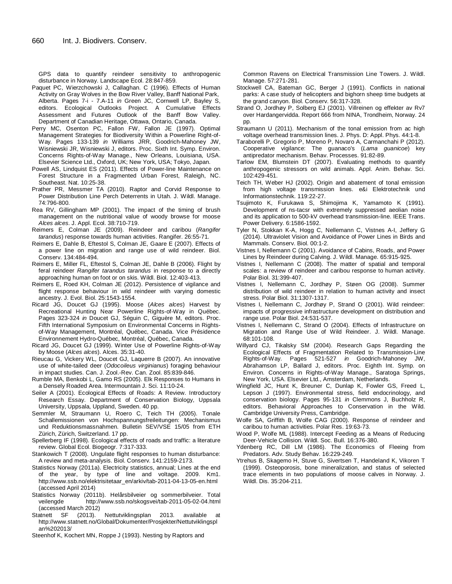GPS data to quantify reindeer sensitivity to anthropogenic disturbance in Norway. Landscape Ecol. 28:847-859.

- Paquet PC, Wierzchowski J, Callaghan. C (1996). Effects of Human Activity on Gray Wolves in the Bow River Valley, Banff National Park, Alberta. Pages 7-i - 7.A-11 *in* Green JC, Cornwell LP, Bayley S, editors. Ecological Outlooks Project. A Cumulative Effects Assessment and Futures Outlook of the Banff Bow Valley. Department of Canadian Heritage, Ottawa, Ontario, Canada.
- Perry MC, Osenton PC, Fallon FW, Fallon JE (1997). Optimal Management Strategies for Biodiversity Within a Powerline Right-of-Way. Pages 133-139 *in* Williams JRR, Goodrich-Mahoney JW, Wisniewski JR, Wisniewski J, editors. Proc. Sixth Int. Symp. Environ. Concerns Rights-of-Way Manage., New Orleans, Louisiana, USA. Elsevier Science Ltd., Oxford, UK; New York, USA; Tokyo, Japan.
- Powell AS, Lindquist ES (2011). Effects of Power-line Maintenance on Forest Structure in a Fragmented Urban Forest, Raleigh, NC. Southeast. Nat. 10:25-38.
- Prather PR, Messmer TA (2010). Raptor and Corvid Response to Power Distribution Line Perch Deterrents in Utah. J. Wildl. Manage. 74:796-800.
- Rea RV, Gillingham MP (2001). The impact of the timing of brush management on the nutritional value of woody browse for moose *Alces alces*. J. Appl. Ecol. 38:710-719.
- Reimers E, Colman JE (2009). Reindeer and caribou (*Rangifer tarandus*) response towards human activities. Rangifer. 26:55-71.
- Reimers E, Dahle B, Eftestol S, Colman JE, Gaare E (2007). Effects of a power line on migration and range use of wild reindeer. Biol. Conserv. 134:484-494.
- Reimers E, Miller FL, Eftestol S, Colman JE, Dahle B (2006). Flight by feral reindeer *Rangifer tarandus tarandus* in response to a directly approaching human on foot or on skis. Wildl. Biol. 12:403-413.
- Reimers E, Roed KH, Colman JE (2012). Persistence of vigilance and flight response behaviour in wild reindeer with varying domestic ancestry. J. Evol. Biol. 25:1543-1554.
- Ricard JG, Doucet GJ (1995). Moose (*Alces alces*) Harvest by Recreational Hunting Near Powerline Rights-of-Way in Québec. Pages 323-324 *in* Doucet GJ, Séguin C, Giguère M, editors. Proc. Fifth International Symposium on Environmental Concerns in Rightsof-Way Management, Montréal, Québec, Canada. Vice Présidence Environnement Hydro-Québec, Montréal, Québec, Canada.
- Ricard JG, Doucet GJ (1999). Winter Use of Powerline Rights-of-Way by Moose (*Alces alces*). Alces. 35:31-40.
- Rieucau G, Vickery WL, Doucet GJ, Laquerre B (2007). An innovative use of white-tailed deer (*Odocoileus virginianus*) foraging behaviour in impact studies. Can. J. Zool.-Rev. Can. Zool. 85:839-846.
- Rumble MA, Benkobi L, Gamo RS (2005). Elk Responses to Humans in a Densely Roaded Area. Intermountain J. Sci. 11:10-24.
- Seiler A (2001). Ecological Effects of Roads: A Review. Introductory Research Essay. Department of Conservation Biology, Uppsala University, Uppsala, Uppland, Sweden. 40 pp.
- Semmler M, Straumann U, Roero C, Teich TH (2005). Tonale Schallemissionen von Hochspannungsfreileitungen: Mechanismus und Reduktionsmassnahmen. Bulletin SEV/VSE 15/05 from ETH Zürich, Zürich, Switzerland. 17 pp.
- Spellerberg IF (1998). Ecological effects of roads and traffic: a literature review. Global Ecol. Biogeogr. 7:317-333.
- Stankowich T (2008). Ungulate flight responses to human disturbance: A review and meta-analysis. Biol. Conserv. 141:2159-2173.
- Statistics Norway (2011a). Electricity statistics, annual; Lines at the end of the year, by type of line and voltage. 2009. Km1. http://www.ssb.no/elektrisitetaar\_en/arkiv/tab-2011-04-13-05-en.html (accessed April 2014)
- Statistics Norway (2011b). Helårsbilveier og sommerbilveier. Total http://www.ssb.no/skogsvei/tab-2011-05-02-04.html (accessed March 2012)
- Statnett SF (2013). Nettutviklingsplan 2013. available at http://www.statnett.no/Global/Dokumenter/Prosjekter/Nettutviklingspl an%202013/
- Steenhof K, Kochert MN, Roppe J (1993). Nesting by Raptors and

Common Ravens on Electrical Transmission Line Towers. J. Wildl. Manage. 57:271-281.

- Stockwell CA, Bateman GC, Berger J (1991). Conflicts in national parks: A case study of helicopters and bighorn sheep time budgets at the grand canyon. Biol. Conserv. 56:317-328.
- Strand O, Jordhøy P, Solberg EJ (2001). Villreinen og effekter av Rv7 over Hardangervidda. Report 666 from NINA, Trondheim, Norway. 24 pp.
- Straumann U (2011). Mechanism of the tonal emission from ac high voltage overhead transmission lines. J. Phys. D: Appl. Phys. 44:1-8.
- Taraborelli P, Gregorio P, Moreno P, Novaro A, Carmanchahi P (2012). Cooperative vigilance: The guanaco's (*Lama guanicoe*) key antipredator mechanism. Behav. Processes. 91:82-89.
- Tarlow EM, Blumstein DT (2007). Evaluating methods to quantify anthropogenic stressors on wild animals. Appl. Anim. Behav. Sci. 102:429-451.
- Teich TH, Weber HJ (2002). Origin and abatement of tonal emission from high voltage transmission lines. e&i Elektrotechnik und Informationstechnik. 119:22-27.
- Tsujimoto K, Furukawa S, Shimojima K, Yamamoto K (1991). Development of ns-tacsr with extremely suppressed aeolian noise and its application to 500-kV overhead transmission-line. IEEE Trans. Power Delivery. 6:1586-1592.
- Tyler N, Stokkan K-A, Hogg C, Nellemann C, Vistnes A-I, Jeffery G (2014). Ultraviolet Vision and Avoidance of Power Lines in Birds and Mammals. Conserv. Biol. 00:1-2.
- Vistnes I, Nellemann C (2001). Avoidance of Cabins, Roads, and Power Lines by Reindeer during Calving. J. Wildl. Manage. 65:915-925.
- Vistnes I, Nellemann C (2008). The matter of spatial and temporal scales: a review of reindeer and caribou response to human activity. Polar Biol. 31:399-407.
- Vistnes I, Nellemann C, Jordhøy P, Støen OG (2008). Summer distribution of wild reindeer in relation to human activity and insect stress. Polar Biol. 31:1307-1317.
- Vistnes I, Nellemann C, Jordhøy P, Strand O (2001). Wild reindeer: impacts of progressive infrastructure development on distribution and range use. Polar Biol. 24:531-537.
- Vistnes I, Nellemann C, Strand O (2004). Effects of Infrastructure on Migration and Range Use of Wild Reindeer. J. Wildl. Manage. 68:101-108.
- Willyard CJ, Tikalsky SM (2004). Research Gaps Regarding the Ecological Effects of Fragmentation Related to Transmission-Line Rights-of-Way. Pages 521-527 *in* Goodrich-Mahoney JW, Abrahamson LP, Ballard J, editors. Proc. Eighth Int. Symp. on Environ. Concerns in Rights-of-Way Manage., Saratoga Springs, New York, USA. Elsevier Ltd., Amsterdam, Netherlands.
- Wingfield JC, Hunt K, Breuner C, Dunlap K, Fowler GS, Freed L, Lepson J (1997). Environmental stress, field endocrinology, and conservation biology. Pages 95-131 *in* Clemmons J, Buchholz R, editors. Behavioral Approaches to Conservation in the Wild. Cambridge University Press, Cambridge.
- Wolfe SA, Griffith B, Wolfe CAG (2000). Response of reindeer and caribou to human activities. Polar Res. 19:63-73.
- Wood P, Wolfe ML (1988). Intercept Feeding as a Means of Reducing Deer-Vehicle Collision. Wildl. Soc. Bull. 16:376-380.
- Ydenberg RC, Dill LM (1986). The Economics of Fleeing from Predators. Adv. Study Behav. 16:229-249.
- Ytrehus B, Skagemo H, Stuve G, Sivertsen T, Handeland K, Vikoren T (1999). Osteoporosis, bone mineralization, and status of selected trace elements in two populations of moose calves in Norway. J. Wildl. Dis. 35:204-211.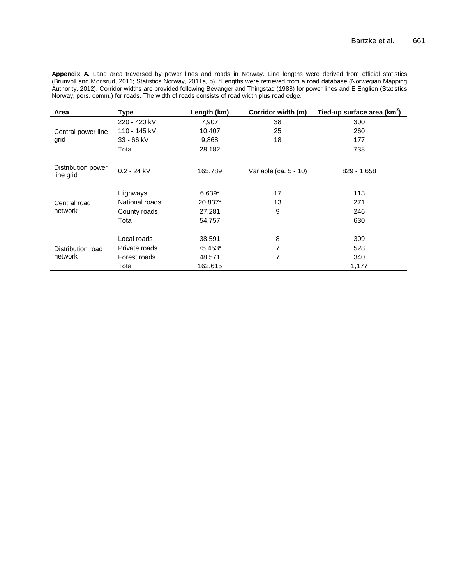**Appendix A.** Land area traversed by power lines and roads in Norway. Line lengths were derived from official statistics (Brunvoll and Monsrud, 2011; Statistics Norway, 2011a, b). \*Lengths were retrieved from a road database (Norwegian Mapping Authority, 2012). Corridor widths are provided following Bevanger and Thingstad (1988) for power lines and E Englien (Statistics Norway, pers. comm.) for roads. The width of roads consists of road width plus road edge.

| Area                            | <b>Type</b>     | Length (km) | Corridor width (m)    | Tied-up surface area ( $km^2$ ) |
|---------------------------------|-----------------|-------------|-----------------------|---------------------------------|
|                                 | 220 - 420 kV    | 7,907       | 38                    | 300                             |
| Central power line              | 110 - 145 kV    | 10,407      | 25                    | 260                             |
| grid                            | $33 - 66$ kV    | 9,868       | 18                    | 177                             |
|                                 | Total           | 28,182      |                       | 738                             |
| Distribution power<br>line grid | $0.2 - 24$ kV   | 165,789     | Variable (ca. 5 - 10) | $829 - 1,658$                   |
|                                 | <b>Highways</b> | $6,639*$    | 17                    | 113                             |
| Central road                    | National roads  | 20,837*     | 13                    | 271                             |
| network                         | County roads    | 27,281      | 9                     | 246                             |
|                                 | Total           | 54,757      |                       | 630                             |
|                                 | Local roads     | 38,591      | 8                     | 309                             |
| Distribution road               | Private roads   | 75,453*     | 7                     | 528                             |
| network                         | Forest roads    | 48,571      | 7                     | 340                             |
|                                 | Total           | 162,615     |                       | 1,177                           |